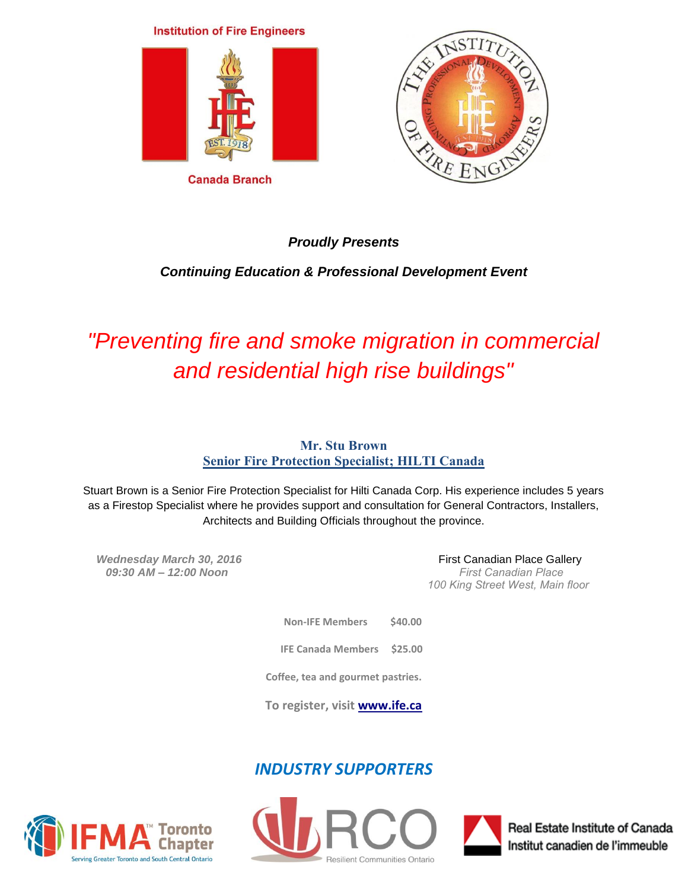## **Institution of Fire Engineers**



**Canada Branch** 



## *Proudly Presents*

## *Continuing Education & Professional Development Event*

# *"Preventing fire and smoke migration in commercial and residential high rise buildings"*

## **Mr. Stu Brown Senior Fire Protection Specialist; HILTI Canada**

Stuart Brown is a Senior Fire Protection Specialist for Hilti Canada Corp. His experience includes 5 years as a Firestop Specialist where he provides support and consultation for General Contractors, Installers, Architects and Building Officials throughout the province.

 *09:30 AM – 12:00 Noon First Canadian Place* 

*Wednesday March 30, 2016 COMB COMB COMB COMB COMB COMB COMB COMB COMB COMB COMB COMB COMB COMB COMB COMB COMB COMB COMB COMB COMB CO 100 King Street West, Main floor* 

> **Non-IFE Members \$40.00 IFE Canada Members \$25.00 Coffee, tea and gourmet pastries.**

**To register, visit [www.ife.c](http://www.ife.ca/)a**

# *INDUSTRY SUPPORTERS*







Real Estate Institute of Canada Institut canadien de l'immeuble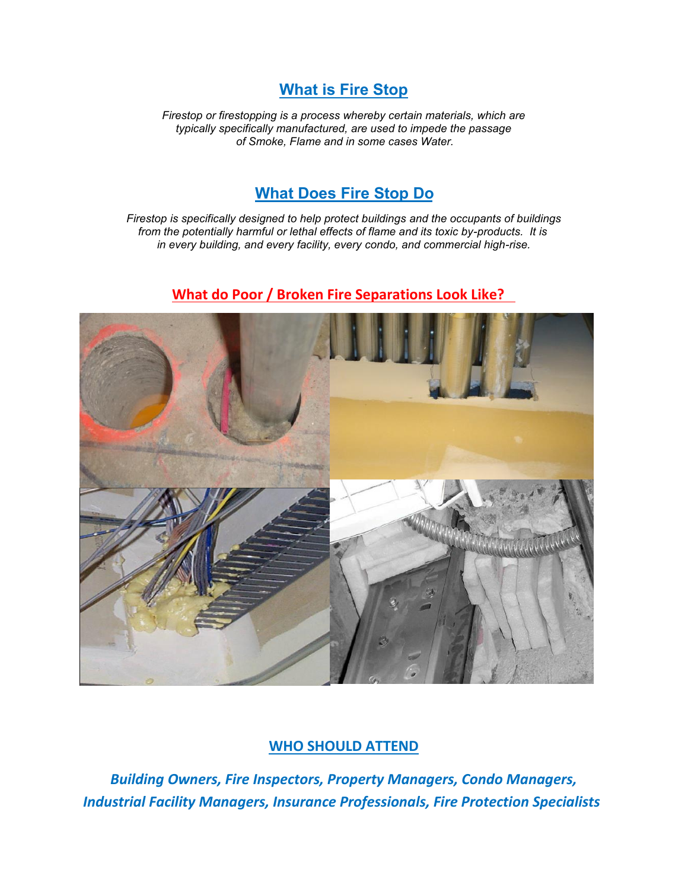## **What is Fire Stop**

*Firestop or firestopping is a process whereby certain materials, which are typically specifically manufactured, are used to impede the passage of Smoke, Flame and in some cases Water.* 

# **What Does Fire Stop Do**

*Firestop is specifically designed to help protect buildings and the occupants of buildings from the potentially harmful or lethal effects of flame and its toxic by-products. It is in every building, and every facility, every condo, and commercial high-rise.* 

## **What do Poor / Broken Fire Separations Look Like?**



## **WHO SHOULD ATTEND**

*Building Owners, Fire Inspectors, Property Managers, Condo Managers, Industrial Facility Managers, Insurance Professionals, Fire Protection Specialists*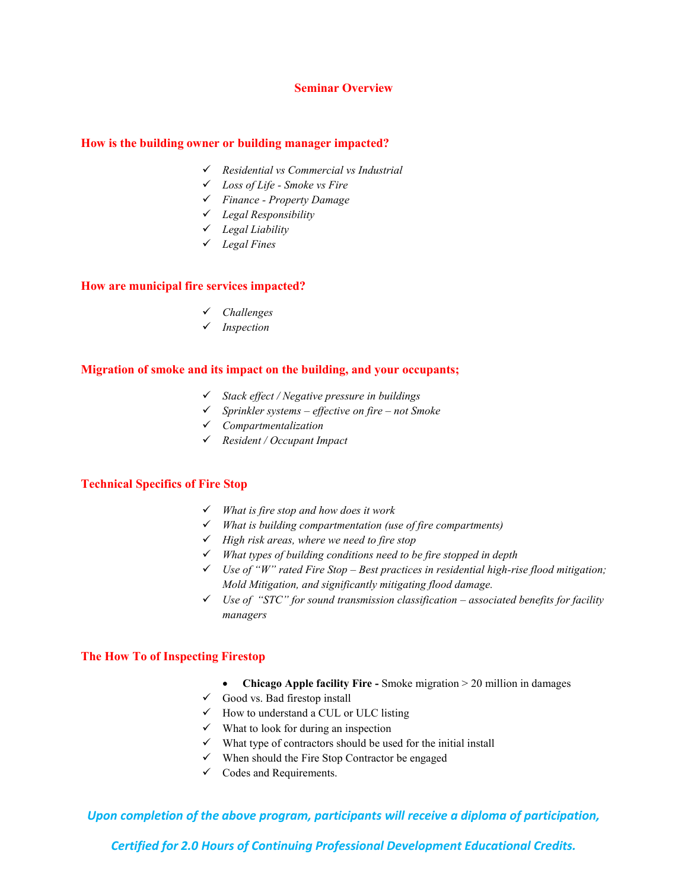### **Seminar Overview**

#### **How is the building owner or building manager impacted?**

- *Residential vs Commercial vs Industrial*
- *Loss of Life Smoke vs Fire*
- *Finance Property Damage*
- *Legal Responsibility*
- *Legal Liability*
- *Legal Fines*

#### **How are municipal fire services impacted?**

- *Challenges*
- *Inspection*

### **Migration of smoke and its impact on the building, and your occupants;**

- *Stack effect / Negative pressure in buildings*
- *Sprinkler systems effective on fire not Smoke*
- *Compartmentalization*
- *Resident / Occupant Impact*

### **Technical Specifics of Fire Stop**

- *What is fire stop and how does it work*
- *What is building compartmentation (use of fire compartments)*
- *High risk areas, where we need to fire stop*
- *What types of building conditions need to be fire stopped in depth*
- *Use of "W" rated Fire Stop Best practices in residential high-rise flood mitigation; Mold Mitigation, and significantly mitigating flood damage.*
- *Use of "STC" for sound transmission classification associated benefits for facility managers*

## **The How To of Inspecting Firestop**

- Chicago Apple facility Fire Smoke migration > 20 million in damages
- $\checkmark$  Good vs. Bad firestop install
- $\checkmark$  How to understand a CUL or ULC listing
- $\checkmark$  What to look for during an inspection
- $\checkmark$  What type of contractors should be used for the initial install
- $\checkmark$  When should the Fire Stop Contractor be engaged
- $\checkmark$  Codes and Requirements.

*Upon completion of the above program, participants will receive a diploma of participation,* 

*Certified for 2.0 Hours of Continuing Professional Development Educational Credits.*